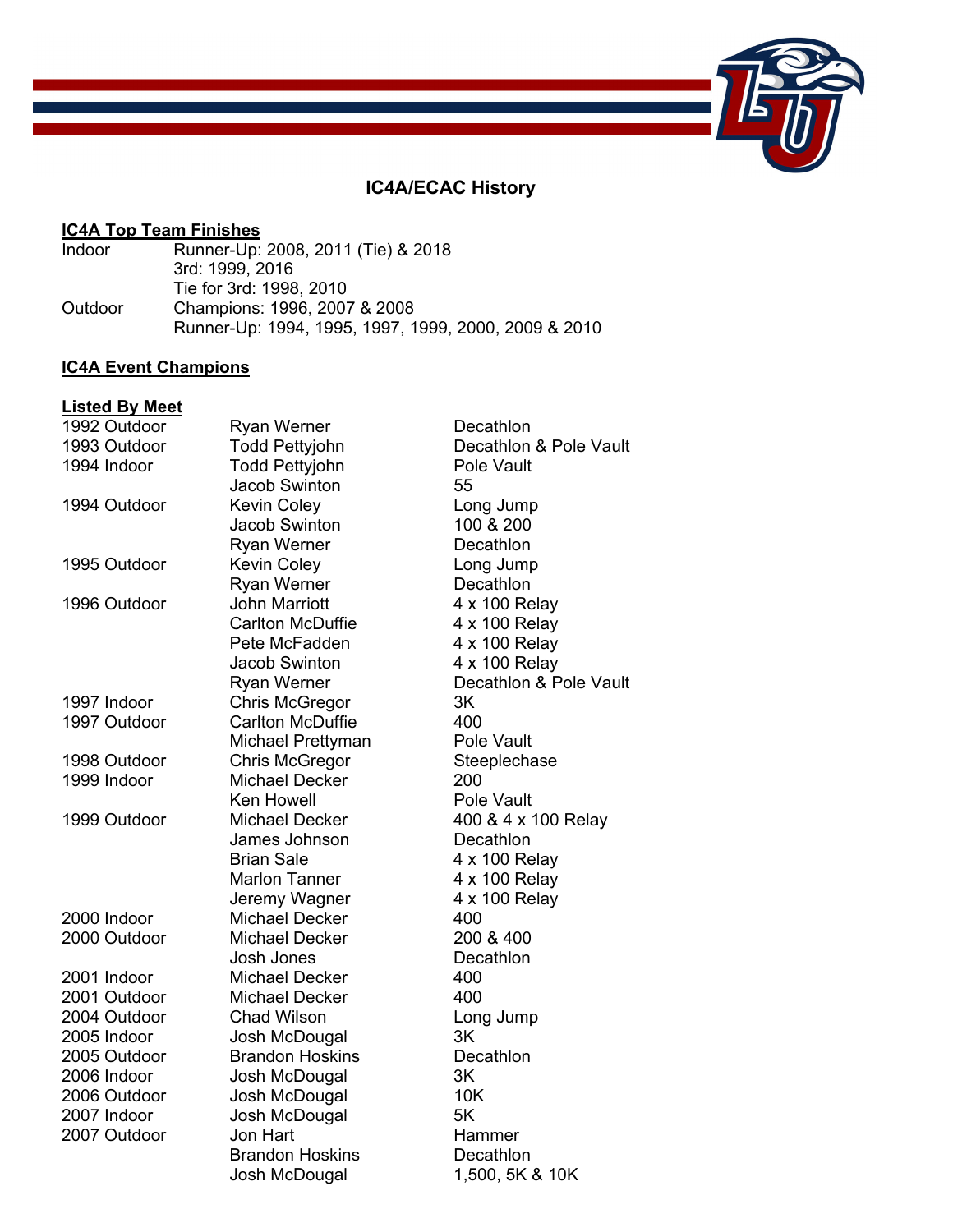# **IC4A/ECAC History**

# **IC4A Top Team Finishes**<br>Indoor Runner-Up:

Runner-Up: 2008, 2011 (Tie) & 2018 3rd: 1999, 2016 Tie for 3rd: 1998, 2010 Outdoor Champions: 1996, 2007 & 2008 Runner-Up: 1994, 1995, 1997, 1999, 2000, 2009 & 2010

## **IC4A Event Champions**

#### **Listed By Meet**

| 1992 Outdoor | <b>Ryan Werner</b>      | Decathlon              |
|--------------|-------------------------|------------------------|
| 1993 Outdoor | <b>Todd Pettyjohn</b>   | Decathlon & Pole Vault |
| 1994 Indoor  | <b>Todd Pettyjohn</b>   | Pole Vault             |
|              | Jacob Swinton           | 55                     |
| 1994 Outdoor | <b>Kevin Coley</b>      | Long Jump              |
|              | <b>Jacob Swinton</b>    | 100 & 200              |
|              | Ryan Werner             | Decathlon              |
| 1995 Outdoor | <b>Kevin Coley</b>      | Long Jump              |
|              | <b>Ryan Werner</b>      | Decathlon              |
| 1996 Outdoor | <b>John Marriott</b>    | 4 x 100 Relay          |
|              | <b>Carlton McDuffie</b> | 4 x 100 Relay          |
|              | Pete McFadden           | 4 x 100 Relay          |
|              | <b>Jacob Swinton</b>    | 4 x 100 Relay          |
|              | Ryan Werner             | Decathlon & Pole Vault |
| 1997 Indoor  | <b>Chris McGregor</b>   | 3K                     |
| 1997 Outdoor | <b>Carlton McDuffie</b> | 400                    |
|              | Michael Prettyman       | Pole Vault             |
| 1998 Outdoor | Chris McGregor          | Steeplechase           |
| 1999 Indoor  | <b>Michael Decker</b>   | 200                    |
|              | <b>Ken Howell</b>       | Pole Vault             |
| 1999 Outdoor | <b>Michael Decker</b>   | 400 & 4 x 100 Relay    |
|              | James Johnson           | Decathlon              |
|              | <b>Brian Sale</b>       | 4 x 100 Relay          |
|              | <b>Marlon Tanner</b>    | 4 x 100 Relay          |
|              | Jeremy Wagner           | 4 x 100 Relay          |
| 2000 Indoor  | <b>Michael Decker</b>   | 400                    |
| 2000 Outdoor | <b>Michael Decker</b>   | 200 & 400              |
|              | Josh Jones              | Decathlon              |
| 2001 Indoor  | Michael Decker          | 400                    |
| 2001 Outdoor | <b>Michael Decker</b>   | 400                    |
| 2004 Outdoor | <b>Chad Wilson</b>      | Long Jump              |
| 2005 Indoor  | Josh McDougal           | 3K                     |
| 2005 Outdoor | <b>Brandon Hoskins</b>  | Decathlon              |
| 2006 Indoor  | Josh McDougal           | 3K                     |
| 2006 Outdoor | Josh McDougal           | 10K                    |
| 2007 Indoor  | Josh McDougal           | 5K                     |
| 2007 Outdoor | Jon Hart                | Hammer                 |
|              | <b>Brandon Hoskins</b>  | Decathlon              |
|              | Josh McDougal           | 1,500, 5K & 10K        |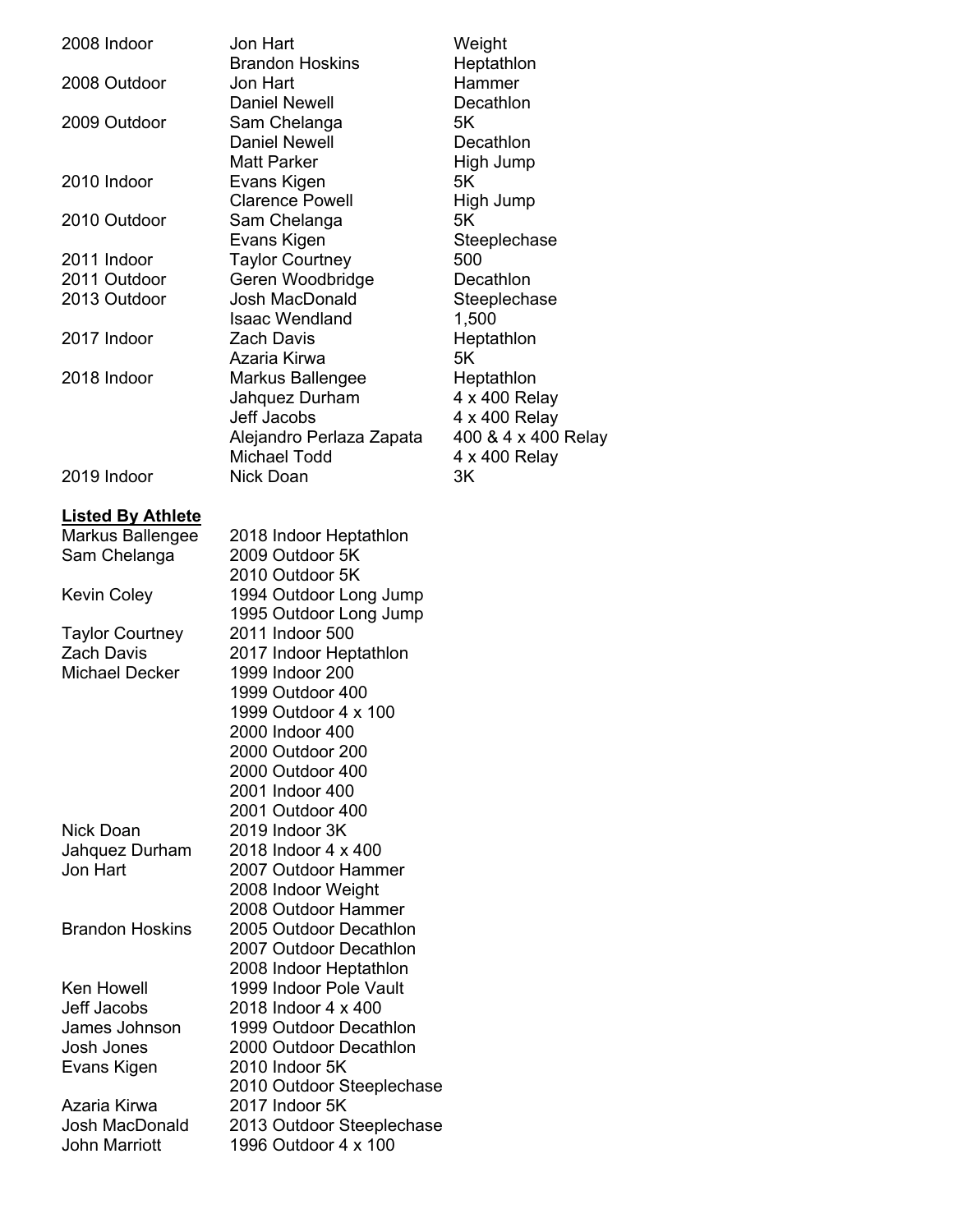| 2008 Indoor                 | Jon Hart                                         | Weight               |
|-----------------------------|--------------------------------------------------|----------------------|
| 2008 Outdoor                | <b>Brandon Hoskins</b><br>Jon Hart               | Heptathlon<br>Hammer |
|                             | <b>Daniel Newell</b>                             | Decathlon            |
| 2009 Outdoor                | Sam Chelanga                                     | 5K                   |
|                             | <b>Daniel Newell</b><br><b>Matt Parker</b>       | Decathlon            |
| 2010 Indoor                 | Evans Kigen                                      | High Jump<br>5K      |
|                             | <b>Clarence Powell</b>                           | High Jump            |
| 2010 Outdoor                | Sam Chelanga                                     | 5K                   |
|                             | Evans Kigen                                      | Steeplechase         |
| 2011 Indoor<br>2011 Outdoor | <b>Taylor Courtney</b><br>Geren Woodbridge       | 500<br>Decathlon     |
| 2013 Outdoor                | Josh MacDonald                                   | Steeplechase         |
|                             | <b>Isaac Wendland</b>                            | 1,500                |
| 2017 Indoor                 | <b>Zach Davis</b>                                | Heptathlon           |
| 2018 Indoor                 | Azaria Kirwa<br>Markus Ballengee                 | 5K<br>Heptathlon     |
|                             | Jahquez Durham                                   | 4 x 400 Relay        |
|                             | Jeff Jacobs                                      | 4 x 400 Relay        |
|                             | Alejandro Perlaza Zapata                         | 400 & 4 x 400 Relay  |
|                             | <b>Michael Todd</b>                              | 4 x 400 Relay        |
| 2019 Indoor                 | Nick Doan                                        | 3K                   |
| <b>Listed By Athlete</b>    |                                                  |                      |
| Markus Ballengee            | 2018 Indoor Heptathlon                           |                      |
| Sam Chelanga                | 2009 Outdoor 5K                                  |                      |
| <b>Kevin Coley</b>          | 2010 Outdoor 5K<br>1994 Outdoor Long Jump        |                      |
|                             | 1995 Outdoor Long Jump                           |                      |
| <b>Taylor Courtney</b>      | 2011 Indoor 500                                  |                      |
| <b>Zach Davis</b>           | 2017 Indoor Heptathlon                           |                      |
| <b>Michael Decker</b>       | 1999 Indoor 200                                  |                      |
|                             | 1999 Outdoor 400                                 |                      |
|                             | 1999 Outdoor 4 x 100<br>2000 Indoor 400          |                      |
|                             | 2000 Outdoor 200                                 |                      |
|                             | 2000 Outdoor 400                                 |                      |
|                             | 2001 Indoor 400                                  |                      |
|                             | 2001 Outdoor 400                                 |                      |
| Nick Doan<br>Jahquez Durham | 2019 Indoor 3K<br>2018 Indoor 4 x 400            |                      |
| Jon Hart                    | 2007 Outdoor Hammer                              |                      |
|                             | 2008 Indoor Weight                               |                      |
|                             | 2008 Outdoor Hammer                              |                      |
| <b>Brandon Hoskins</b>      | 2005 Outdoor Decathlon                           |                      |
|                             | 2007 Outdoor Decathlon                           |                      |
| <b>Ken Howell</b>           | 2008 Indoor Heptathlon<br>1999 Indoor Pole Vault |                      |
| Jeff Jacobs                 | 2018 Indoor 4 x 400                              |                      |
| James Johnson               | 1999 Outdoor Decathlon                           |                      |
| Josh Jones                  | 2000 Outdoor Decathlon                           |                      |
| Evans Kigen                 | 2010 Indoor 5K                                   |                      |
| Azaria Kirwa                | 2010 Outdoor Steeplechase<br>2017 Indoor 5K      |                      |
| Josh MacDonald              | 2013 Outdoor Steeplechase                        |                      |
| <b>John Marriott</b>        | 1996 Outdoor 4 x 100                             |                      |
|                             |                                                  |                      |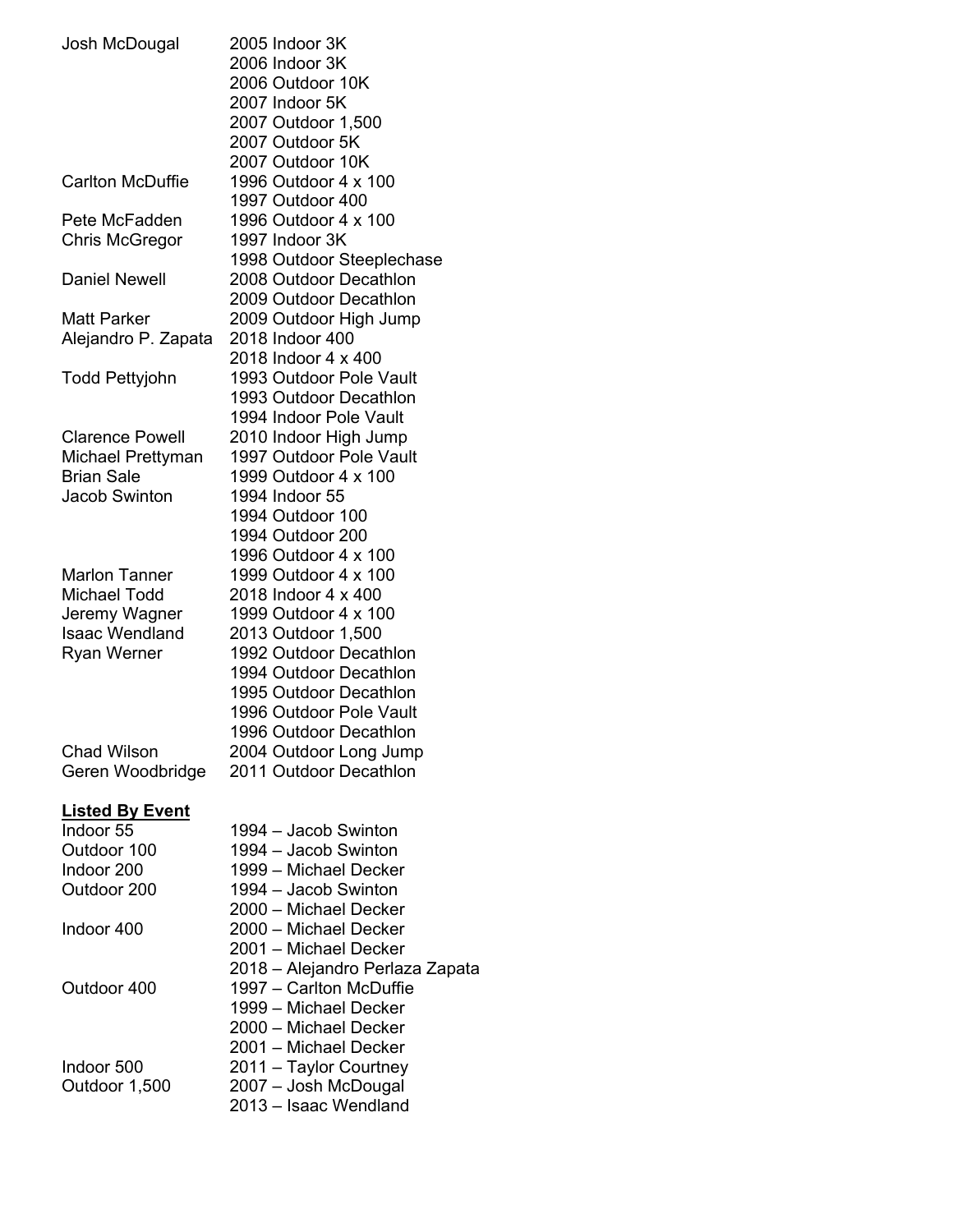| Josh McDougal          | 2005 Indoor 3K                         |
|------------------------|----------------------------------------|
|                        | 2006 Indoor 3K                         |
|                        | 2006 Outdoor 10K                       |
|                        | 2007 Indoor 5K                         |
|                        | 2007 Outdoor 1,500                     |
|                        | 2007 Outdoor 5K                        |
|                        | 2007 Outdoor 10K                       |
| Carlton McDuffie       | 1996 Outdoor 4 x 100                   |
|                        | 1997 Outdoor 400                       |
| Pete McFadden          | 1996 Outdoor 4 x 100                   |
| <b>Chris McGregor</b>  | 1997 Indoor 3K                         |
|                        | 1998 Outdoor Steeplechase              |
| <b>Daniel Newell</b>   | 2008 Outdoor Decathlon                 |
|                        | 2009 Outdoor Decathlon                 |
| Matt Parker            |                                        |
|                        | 2009 Outdoor High Jump                 |
| Alejandro P. Zapata    | 2018 Indoor 400<br>2018 Indoor 4 x 400 |
|                        |                                        |
| Todd Pettyjohn         | 1993 Outdoor Pole Vault                |
|                        | 1993 Outdoor Decathlon                 |
|                        | 1994 Indoor Pole Vault                 |
| <b>Clarence Powell</b> | 2010 Indoor High Jump                  |
| Michael Prettyman      | 1997 Outdoor Pole Vault                |
| <b>Brian Sale</b>      | 1999 Outdoor 4 x 100                   |
| <b>Jacob Swinton</b>   | 1994 Indoor 55                         |
|                        | 1994 Outdoor 100                       |
|                        | 1994 Outdoor 200                       |
|                        | 1996 Outdoor 4 x 100                   |
| <b>Marlon Tanner</b>   | 1999 Outdoor 4 x 100                   |
| Michael Todd           | 2018 Indoor 4 x 400                    |
| Jeremy Wagner          | 1999 Outdoor 4 x 100                   |
| <b>Isaac Wendland</b>  | 2013 Outdoor 1,500                     |
| Ryan Werner            | 1992 Outdoor Decathlon                 |
|                        | 1994 Outdoor Decathlon                 |
|                        | 1995 Outdoor Decathlon                 |
|                        | 1996 Outdoor Pole Vault                |
|                        | 1996 Outdoor Decathlon                 |
| <b>Chad Wilson</b>     | 2004 Outdoor Long Jump                 |
| Geren Woodbridge       | 2011 Outdoor Decathlon                 |
|                        |                                        |
| <b>Listed By Event</b> |                                        |
| Indoor 55              | 1994 - Jacob Swinton                   |
| Outdoor 100            | 1994 - Jacob Swinton                   |
| Indoor 200             | 1999 - Michael Decker                  |
| Outdoor 200            | 1994 - Jacob Swinton                   |
|                        | 2000 - Michael Decker                  |
| Indoor 400             | 2000 - Michael Decker                  |
|                        | 2001 - Michael Decker                  |
|                        | 2018 – Alejandro Perlaza Zapata        |
| Outdoor 400            | 1997 - Carlton McDuffie                |
|                        | 1999 - Michael Decker                  |
|                        | 2000 - Michael Decker                  |
|                        | 2001 - Michael Decker                  |
| Indoor 500             |                                        |
|                        | 2011 - Taylor Courtney                 |
| Outdoor 1,500          | 2007 - Josh McDougal                   |
|                        | 2013 - Isaac Wendland                  |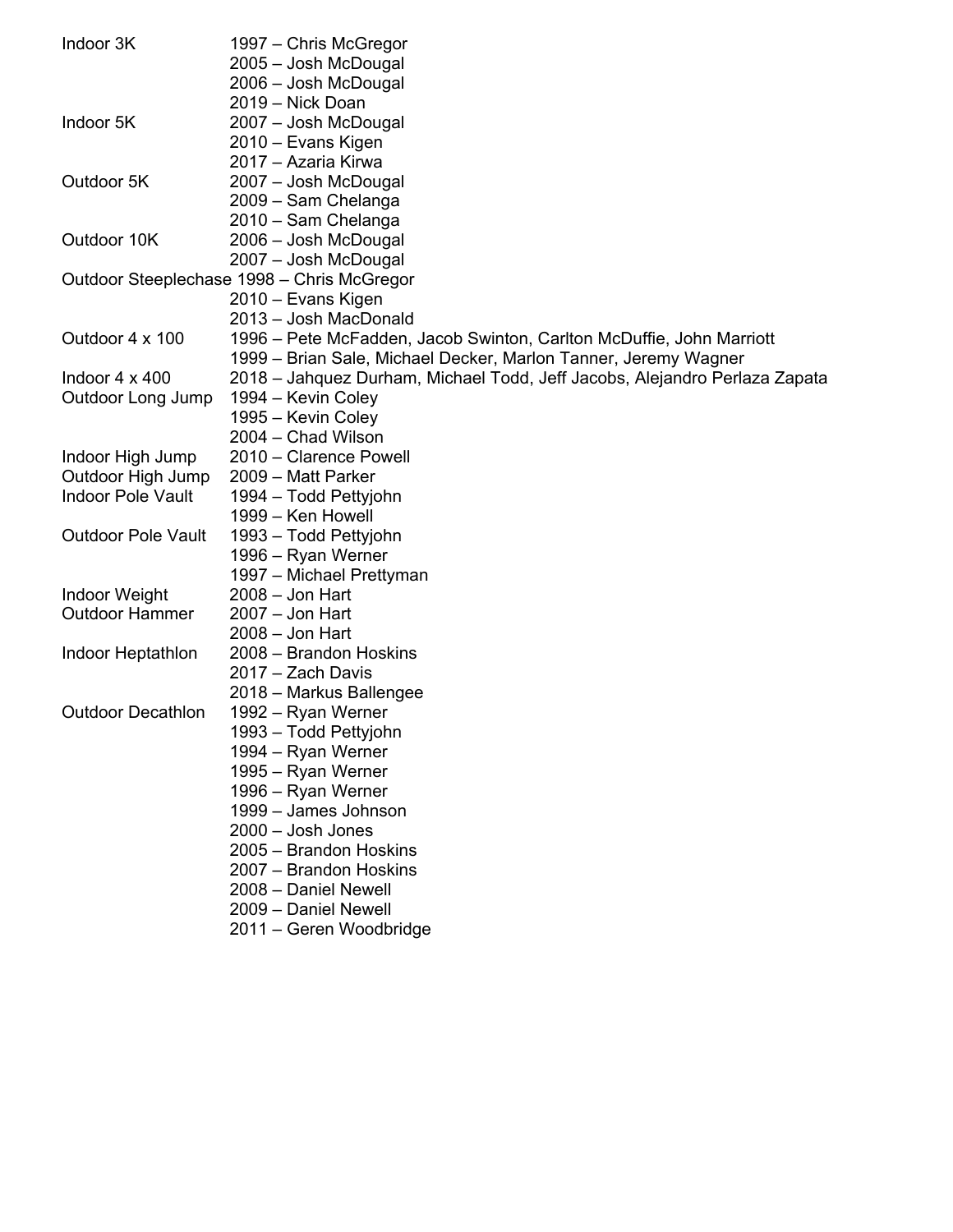| Indoor 3K                 | 1997 – Chris McGregor                                                      |
|---------------------------|----------------------------------------------------------------------------|
|                           | 2005 - Josh McDougal                                                       |
|                           | 2006 - Josh McDougal                                                       |
|                           | 2019 - Nick Doan                                                           |
| Indoor 5K                 | 2007 - Josh McDougal                                                       |
|                           | 2010 – Evans Kigen                                                         |
|                           | 2017 - Azaria Kirwa                                                        |
| Outdoor 5K                | 2007 - Josh McDougal                                                       |
|                           | 2009 - Sam Chelanga                                                        |
|                           | 2010 - Sam Chelanga                                                        |
| Outdoor 10K               | 2006 - Josh McDougal                                                       |
|                           | 2007 - Josh McDougal                                                       |
|                           | Outdoor Steeplechase 1998 - Chris McGregor                                 |
|                           | 2010 – Evans Kigen                                                         |
|                           | 2013 - Josh MacDonald                                                      |
| Outdoor 4 x 100           | 1996 – Pete McFadden, Jacob Swinton, Carlton McDuffie, John Marriott       |
|                           | 1999 – Brian Sale, Michael Decker, Marlon Tanner, Jeremy Wagner            |
| Indoor $4 \times 400$     | 2018 – Jahquez Durham, Michael Todd, Jeff Jacobs, Alejandro Perlaza Zapata |
| <b>Outdoor Long Jump</b>  | 1994 – Kevin Coley                                                         |
|                           | 1995 - Kevin Coley                                                         |
|                           | 2004 - Chad Wilson                                                         |
| Indoor High Jump          | 2010 - Clarence Powell                                                     |
| Outdoor High Jump         | 2009 - Matt Parker                                                         |
| <b>Indoor Pole Vault</b>  | 1994 – Todd Pettyjohn                                                      |
|                           | 1999 – Ken Howell                                                          |
| <b>Outdoor Pole Vault</b> | 1993 - Todd Pettyjohn                                                      |
|                           | 1996 – Ryan Werner                                                         |
|                           | 1997 - Michael Prettyman                                                   |
| <b>Indoor Weight</b>      | $2008 -$ Jon Hart                                                          |
| <b>Outdoor Hammer</b>     | $2007 -$ Jon Hart                                                          |
|                           | $2008 -$ Jon Hart                                                          |
| Indoor Heptathlon         | 2008 - Brandon Hoskins                                                     |
|                           | 2017 – Zach Davis                                                          |
|                           | 2018 - Markus Ballengee                                                    |
| <b>Outdoor Decathlon</b>  | 1992 – Ryan Werner                                                         |
|                           | 1993 - Todd Pettyjohn                                                      |
|                           | 1994 – Ryan Werner                                                         |
|                           | 1995 – Ryan Werner                                                         |
|                           | 1996 – Ryan Werner                                                         |
|                           | 1999 - James Johnson                                                       |
|                           | $2000 -$ Josh Jones                                                        |
|                           | 2005 - Brandon Hoskins                                                     |
|                           | 2007 - Brandon Hoskins                                                     |
|                           | 2008 - Daniel Newell                                                       |
|                           | 2009 - Daniel Newell                                                       |
|                           | 2011 - Geren Woodbridge                                                    |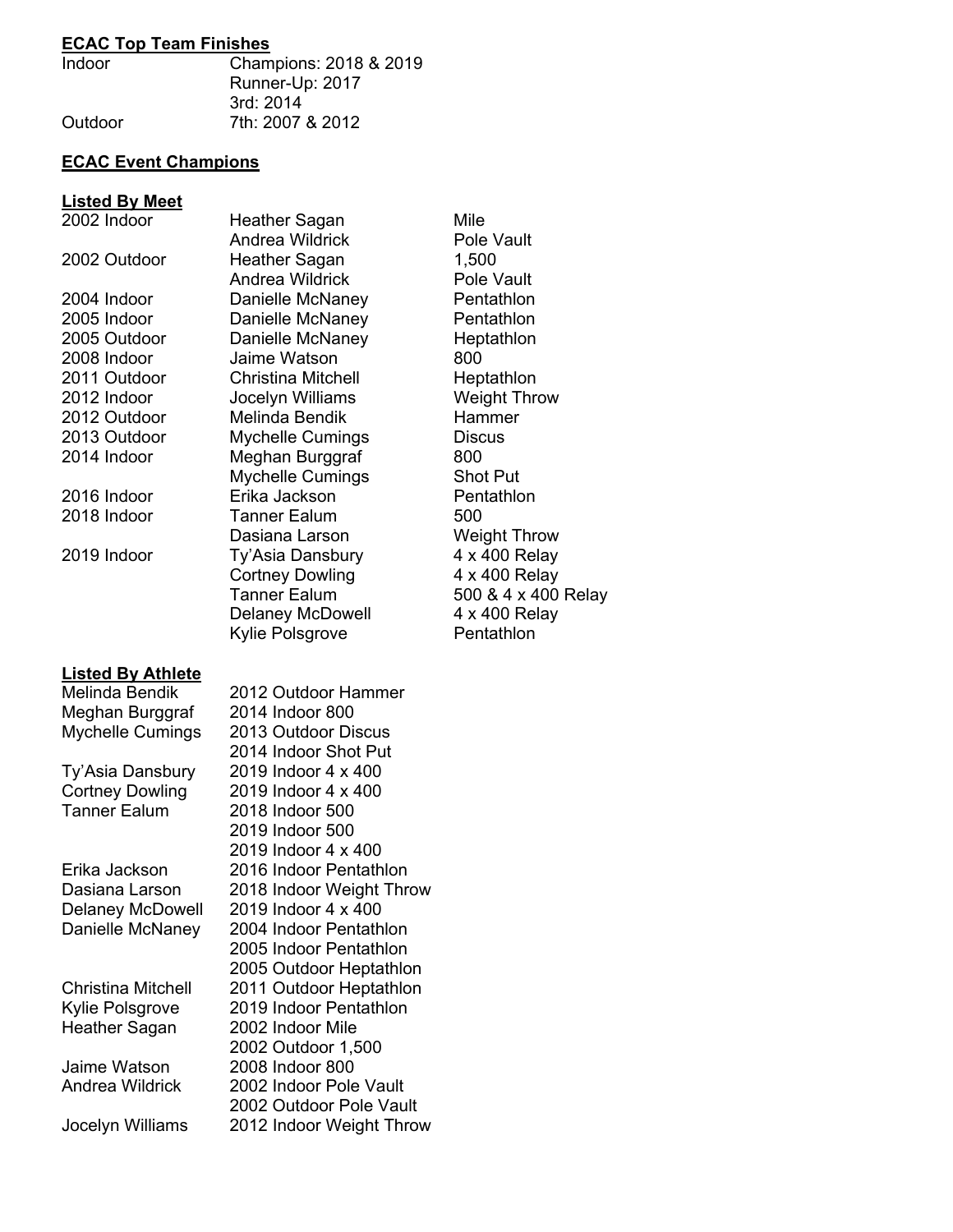### **ECAC Top Team Finishes**

| <b>Indoor</b> | Champions: 2018 & 2019 |
|---------------|------------------------|
|               | Runner-Up: 2017        |
|               | 3rd: 2014              |
| Outdoor       | 7th: 2007 & 2012       |

### **ECAC Event Champions**

#### **Listed By Meet**

| 2002 Indoor              | Heather Sagan             | Mile                |
|--------------------------|---------------------------|---------------------|
|                          | Andrea Wildrick           | Pole Vault          |
| 2002 Outdoor             | Heather Sagan             | 1,500               |
|                          | Andrea Wildrick           | Pole Vault          |
| 2004 Indoor              | Danielle McNaney          | Pentathlon          |
| 2005 Indoor              | Danielle McNaney          | Pentathlon          |
| 2005 Outdoor             | Danielle McNaney          | Heptathlon          |
| 2008 Indoor              | Jaime Watson              | 800                 |
| 2011 Outdoor             | <b>Christina Mitchell</b> | Heptathlon          |
| 2012 Indoor              | Jocelyn Williams          | <b>Weight Throw</b> |
| 2012 Outdoor             | <b>Melinda Bendik</b>     | Hammer              |
| 2013 Outdoor             | <b>Mychelle Cumings</b>   | <b>Discus</b>       |
| 2014 Indoor              | Meghan Burggraf           | 800                 |
|                          | <b>Mychelle Cumings</b>   | <b>Shot Put</b>     |
| 2016 Indoor              | Erika Jackson             | Pentathlon          |
| 2018 Indoor              | <b>Tanner Ealum</b>       | 500                 |
|                          | Dasiana Larson            | <b>Weight Throw</b> |
| 2019 Indoor              | Ty'Asia Dansbury          | 4 x 400 Relay       |
|                          | <b>Cortney Dowling</b>    | 4 x 400 Relay       |
|                          | <b>Tanner Ealum</b>       | 500 & 4 x 400 Relay |
|                          | <b>Delaney McDowell</b>   | 4 x 400 Relay       |
|                          | <b>Kylie Polsgrove</b>    | Pentathlon          |
| <b>Listed By Athlete</b> |                           |                     |
| <b>Melinda Bendik</b>    | 2012 Outdoor Hammer       |                     |
| Meghan Burggraf          | 2014 Indoor 800           |                     |
| <b>Mychelle Cumings</b>  | 2013 Outdoor Discus       |                     |
|                          | 2014 Indoor Shot Put      |                     |
| Ty'Asia Dansbury         | 2019 Indoor 4 x 400       |                     |
| <b>Cortney Dowling</b>   | 2019 Indoor 4 x 400       |                     |
| <b>Tanner Ealum</b>      | 2018 Indoor 500           |                     |

| Erika Jackson    |
|------------------|
| Dasiana Larson   |
| Delaney McDowell |
| Danielle McNanev |

Heather Sagan 2002 Indoor Mile

Jaime Watson 2008 Indoor 800<br>Andrea Wildrick 2002 Indoor Pole

Jocelyn Williams 2012 Indoor Weight Throw

2018 Indoor 500 2019 Indoor 500 2019 Indoor 4 x 400 2016 Indoor Pentathlon 2018 Indoor Weight Throw 2019 Indoor  $4 \times 400$ 2004 Indoor Pentathlon 2005 Indoor Pentathlon 2005 Outdoor Heptathlon Christina Mitchell 2011 Outdoor Heptathlon Kylie Polsgrove 2019 Indoor Pentathlon 2002 Outdoor 1,500<br>2008 Indoor 800 2002 Indoor Pole Vault 2002 Outdoor Pole Vault